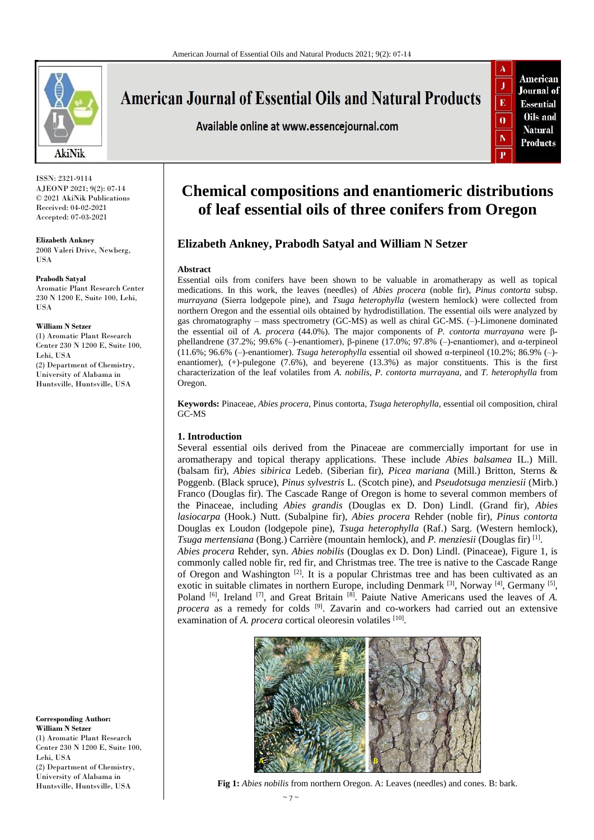

ISSN: 2321-9114 AJEONP 2021; 9(2): 07-14 © 2021 AkiNik Publications Received: 04-02-2021 Accepted: 07-03-2021

**Elizabeth Ankney** 2008 Valeri Drive, Newberg, USA

**Prabodh Satyal** Aromatic Plant Research Center 230 N 1200 E, Suite 100, Lehi, USA

#### **William N Setzer**

(1) Aromatic Plant Research Center 230 N 1200 E, Suite 100, Lehi, USA (2) Department of Chemistry, University of Alabama in Huntsville, Huntsville, USA

**Corresponding Author: William N Setzer** (1) Aromatic Plant Research Center 230 N 1200 E, Suite 100, Lehi, USA (2) Department of Chemistry, University of Alabama in Huntsville, Huntsville, USA

**American Journal of Essential Oils and Natural Products** 

Available online at www.essencejournal.com



# **Chemical compositions and enantiomeric distributions of leaf essential oils of three conifers from Oregon**

# **Elizabeth Ankney, Prabodh Satyal and William N Setzer**

### **Abstract**

Essential oils from conifers have been shown to be valuable in aromatherapy as well as topical medications. In this work, the leaves (needles) of *Abies procera* (noble fir), *Pinus contorta* subsp. *murrayana* (Sierra lodgepole pine), and *Tsuga heterophylla* (western hemlock) were collected from northern Oregon and the essential oils obtained by hydrodistillation. The essential oils were analyzed by gas chromatography – mass spectrometry (GC-MS) as well as chiral GC-MS. (–)-Limonene dominated the essential oil of *A. procera* (44.0%). The major components of *P. contorta murrayana* were βphellandrene (37.2%; 99.6% (–)-enantiomer), β-pinene (17.0%; 97.8% (–)-enantiomer), and α-terpineol (11.6%; 96.6% (–)-enantiomer). *Tsuga heterophylla* essential oil showed α-terpineol (10.2%; 86.9% (–) enantiomer), (+)-pulegone (7.6%), and beyerene (13.3%) as major constituents. This is the first characterization of the leaf volatiles from *A. nobilis*, *P. contorta murrayana*, and *T. heterophylla* from Oregon.

**Keywords:** Pinaceae, *Abies procera*, Pinus contorta, *Tsuga heterophylla*, essential oil composition, chiral GC-MS

### **1. Introduction**

Several essential oils derived from the Pinaceae are commercially important for use in aromatherapy and topical therapy applications. These include *Abies balsamea* IL.) Mill. (balsam fir), *Abies sibirica* Ledeb. (Siberian fir), *Picea mariana* (Mill.) Britton, Sterns & Poggenb. (Black spruce), *Pinus sylvestris* L. (Scotch pine), and *Pseudotsuga menziesii* (Mirb.) Franco (Douglas fir). The Cascade Range of Oregon is home to several common members of the Pinaceae, including *Abies grandis* (Douglas ex D. Don) Lindl. (Grand fir), *Abies lasiocarpa* (Hook.) Nutt. (Subalpine fir), *Abies procera* Rehder (noble fir), *Pinus contorta* Douglas ex Loudon (lodgepole pine), *Tsuga heterophylla* (Raf.) Sarg. (Western hemlock), *Tsuga mertensiana* (Bong.) Carrière (mountain hemlock), and *P. menziesii* (Douglas fir) [1] . *Abies procera* Rehder, syn. *Abies nobilis* (Douglas ex D. Don) Lindl. (Pinaceae), Figure 1, is

commonly called noble fir, red fir, and Christmas tree. The tree is native to the Cascade Range of Oregon and Washington<sup>[2]</sup>. It is a popular Christmas tree and has been cultivated as an exotic in suitable climates in northern Europe, including Denmark <sup>[3]</sup>, Norway <sup>[4]</sup>, Germany <sup>[5]</sup>, Poland <sup>[6]</sup>, Ireland <sup>[7]</sup>, and Great Britain <sup>[8]</sup>. Paiute Native Americans used the leaves of *A*. procera as a remedy for colds <sup>[9]</sup>. Zavarin and co-workers had carried out an extensive examination of *A. procera* cortical oleoresin volatiles [10].



**Fig 1:** *Abies nobilis* from northern Oregon. A: Leaves (needles) and cones. B: bark.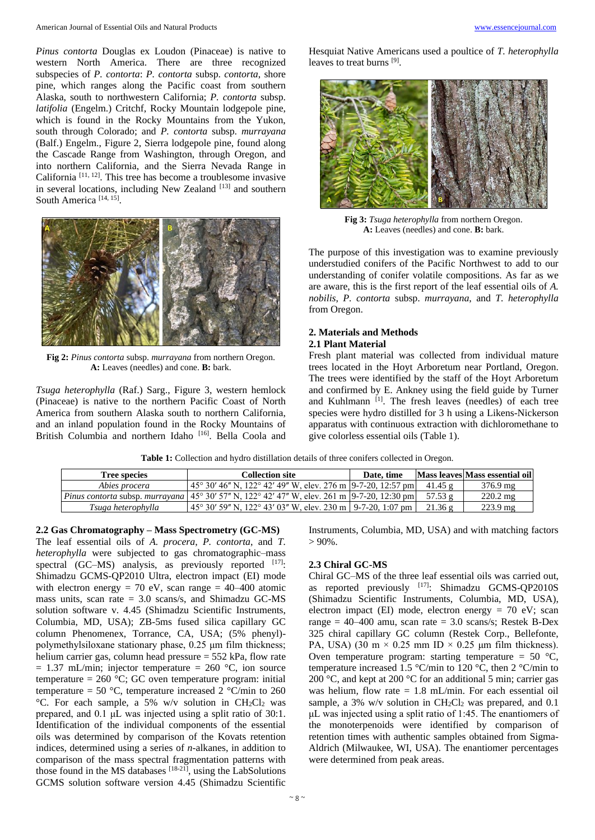*Pinus contorta* Douglas ex Loudon (Pinaceae) is native to western North America. There are three recognized subspecies of *P. contorta*: *P. contorta* subsp. *contorta*, shore pine, which ranges along the Pacific coast from southern Alaska, south to northwestern California; *P. contorta* subsp. *latifolia* (Engelm.) Critchf, Rocky Mountain lodgepole pine, which is found in the Rocky Mountains from the Yukon, south through Colorado; and *P. contorta* subsp. *murrayana* (Balf.) Engelm., Figure 2, Sierra lodgepole pine, found along the Cascade Range from Washington, through Oregon, and into northern California, and the Sierra Nevada Range in California [11, 12] . This tree has become a troublesome invasive in several locations, including New Zealand [13] and southern South America<sup>[14, 15]</sup>.



**Fig 2:** *Pinus contorta* subsp. *murrayana* from northern Oregon. **A:** Leaves (needles) and cone. **B:** bark.

*Tsuga heterophylla* (Raf.) Sarg., Figure 3, western hemlock (Pinaceae) is native to the northern Pacific Coast of North America from southern Alaska south to northern California, and an inland population found in the Rocky Mountains of British Columbia and northern Idaho<sup>[16]</sup>. Bella Coola and Hesquiat Native Americans used a poultice of *T. heterophylla* leaves to treat burns [9].



**Fig 3:** *Tsuga heterophylla* from northern Oregon. **A:** Leaves (needles) and cone. **B:** bark.

The purpose of this investigation was to examine previously understudied conifers of the Pacific Northwest to add to our understanding of conifer volatile compositions. As far as we are aware, this is the first report of the leaf essential oils of *A. nobilis*, *P. contorta* subsp. *murrayana*, and *T. heterophylla* from Oregon.

### **2. Materials and Methods 2.1 Plant Material**

Fresh plant material was collected from individual mature trees located in the Hoyt Arboretum near Portland, Oregon. The trees were identified by the staff of the Hoyt Arboretum and confirmed by E. Ankney using the field guide by Turner and Kuhlmann<sup>[1]</sup>. The fresh leaves (needles) of each tree species were hydro distilled for 3 h using a Likens-Nickerson apparatus with continuous extraction with dichloromethane to give colorless essential oils (Table 1).

**Table 1:** Collection and hydro distillation details of three conifers collected in Oregon.

| <b>Tree species</b> | Collection site–                                                                                                              | Date, time |                | Mass leaves Mass essential oil |
|---------------------|-------------------------------------------------------------------------------------------------------------------------------|------------|----------------|--------------------------------|
| Abies procera       | $\left[45^{\circ} 30' 46'' N, 122^{\circ} 42' 49'' W,$ elev. 276 m $\left[9-7-20, 12:57 \text{ pm}\right]\right]$             |            | 41.45 $\sigma$ | $376.9 \text{ mg}$             |
|                     | <i>Pinus contorta subsp. murrayana</i> $ 45^{\circ} 30' 57'' N$ , $122^{\circ} 42' 47'' W$ , elev. 261 m $ 9-7-20$ , 12:30 pm |            | 57.53 $g$      | $220.2 \text{ mg}$             |
| Tsuga heterophylla  | 1 45° 30′ 59″ N, 122° 43′ 03″ W, elev. 230 m 1 9-7-20, 1:07 pm                                                                |            | 21.36g         | $223.9 \text{ mg}$             |

**2.2 Gas Chromatography – Mass Spectrometry (GC-MS)** The leaf essential oils of *A. procera*, *P. contorta*, and *T. heterophylla* were subjected to gas chromatographic–mass spectral  $(GC-MS)$  analysis, as previously reported  $[17]$ : Shimadzu GCMS-QP2010 Ultra, electron impact (EI) mode with electron energy = 70 eV, scan range =  $40-400$  atomic mass units, scan rate  $= 3.0$  scans/s, and Shimadzu GC-MS solution software v. 4.45 (Shimadzu Scientific Instruments, Columbia, MD, USA); ZB-5ms fused silica capillary GC column Phenomenex, Torrance, CA, USA; (5% phenyl) polymethylsiloxane stationary phase, 0.25 μm film thickness; helium carrier gas, column head pressure = 552 kPa, flow rate  $= 1.37$  mL/min; injector temperature  $= 260$  °C, ion source temperature =  $260$  °C; GC oven temperature program: initial temperature = 50 °C, temperature increased 2 °C/min to 260  $\rm{°C}$ . For each sample, a 5% w/v solution in CH<sub>2</sub>Cl<sub>2</sub> was prepared, and 0.1 μL was injected using a split ratio of 30:1. Identification of the individual components of the essential oils was determined by comparison of the Kovats retention indices, determined using a series of *n*-alkanes, in addition to comparison of the mass spectral fragmentation patterns with those found in the MS databases  $[18-21]$ , using the LabSolutions GCMS solution software version 4.45 (Shimadzu Scientific

Instruments, Columbia, MD, USA) and with matching factors  $> 90\%$ .

### **2.3 Chiral GC-MS**

Chiral GC–MS of the three leaf essential oils was carried out, as reported previously [17]: Shimadzu GCMS-QP2010S (Shimadzu Scientific Instruments, Columbia, MD, USA), electron impact (EI) mode, electron energy  $= 70$  eV; scan range =  $40-400$  amu, scan rate =  $3.0$  scans/s; Restek B-Dex 325 chiral capillary GC column (Restek Corp., Bellefonte, PA, USA) (30 m  $\times$  0.25 mm ID  $\times$  0.25 µm film thickness). Oven temperature program: starting temperature =  $50^{\circ}$ C, temperature increased 1.5 °C/min to 120 °C, then 2 °C/min to 200 °C, and kept at 200 °C for an additional 5 min; carrier gas was helium, flow rate = 1.8 mL/min. For each essential oil sample, a 3% w/v solution in  $CH_2Cl_2$  was prepared, and 0.1 μL was injected using a split ratio of 1:45. The enantiomers of the monoterpenoids were identified by comparison of retention times with authentic samples obtained from Sigma-Aldrich (Milwaukee, WI, USA). The enantiomer percentages were determined from peak areas.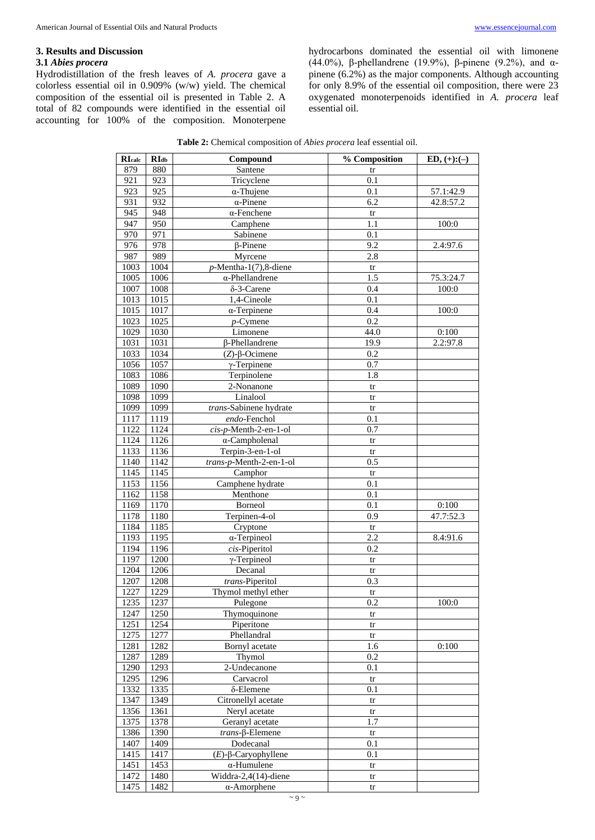# **3. Results and Discussion**

# **3.1** *Abies procera*

Hydrodistillation of the fresh leaves of *A. procera* gave a colorless essential oil in 0.909% (w/w) yield. The chemical composition of the essential oil is presented in Table 2. A total of 82 compounds were identified in the essential oil accounting for 100% of the composition. Monoterpene hydrocarbons dominated the essential oil with limonene (44.0%), β-phellandrene (19.9%), β-pinene (9.2%), and αpinene (6.2%) as the major components. Although accounting for only 8.9% of the essential oil composition, there were 23 oxygenated monoterpenoids identified in *A. procera* leaf essential oil.

| <b>Table 2:</b> Chemical composition of <i>Abies procera</i> leaf essential oil. |  |
|----------------------------------------------------------------------------------|--|
|----------------------------------------------------------------------------------|--|

| <b>RIcalc</b> | RI <sub>db</sub> | Compound                   | % Composition          | $ED, (+): (-)$ |
|---------------|------------------|----------------------------|------------------------|----------------|
| 879           | 880              | Santene                    | tr                     |                |
| 921           | 923              | Tricyclene                 | 0.1                    |                |
| 923           | 925              | $\alpha$ -Thujene          | 0.1                    | 57.1:42.9      |
| 931           | 932              | $\alpha$ -Pinene           | 6.2                    | 42.8:57.2      |
| 945           | 948              | $\alpha$ -Fenchene         | tr                     |                |
| 947           | 950              | Camphene                   | 1.1                    | 100:0          |
| 970           | 971              | Sabinene                   | 0.1                    |                |
| 976           | 978              | $\beta$ -Pinene            | 9.2                    | 2.4:97.6       |
| 987           | 989              | Myrcene                    | 2.8                    |                |
| 1003          | 1004             | $p$ -Mentha-1(7),8-diene   | $\mbox{tr}$            |                |
| 1005          | 1006             | $\alpha$ -Phellandrene     | 1.5                    | 75.3:24.7      |
| 1007          | 1008             | $\delta$ -3-Carene         | 0.4                    | 100:0          |
| 1013          | 1015             | 1,4-Cineole                | 0.1                    |                |
| 1015          | 1017             | $\alpha$ -Terpinene        | 0.4                    | 100:0          |
| 1023          | 1025             | $p$ -Cymene                | 0.2                    |                |
| 1029          | 1030             | Limonene                   | 44.0                   | 0:100          |
| 1031          | 1031             | β-Phellandrene             | 19.9                   | 2.2:97.8       |
| 1033          | 1034             | $(Z)$ - $\beta$ -Ocimene   | 0.2                    |                |
| 1056          | 1057             | $\gamma$ -Terpinene        | 0.7                    |                |
| 1083          | 1086             | Terpinolene                | 1.8                    |                |
| 1089          | 1090             | 2-Nonanone                 | tr                     |                |
| 1098          | 1099             | Linalool                   | tr                     |                |
| 1099          | 1099             | trans-Sabinene hydrate     | tr                     |                |
| 1117          | 1119             | endo-Fenchol               | 0.1                    |                |
| 1122          | 1124             | cis-p-Menth-2-en-1-ol      | 0.7                    |                |
| 1124          | 1126             | $\alpha$ -Campholenal      | tr                     |                |
| 1133          | 1136             | Terpin-3-en-1-ol           | tr                     |                |
| 1140          | 1142             | trans-p-Menth-2-en-1-ol    | 0.5                    |                |
| 1145          | 1145             | Camphor                    | $\mbox{tr}$            |                |
| 1153          | 1156             | Camphene hydrate           | 0.1                    |                |
| 1162          | 1158             | Menthone                   | 0.1                    |                |
| 1169          | 1170             | Borneol                    | 0.1                    | 0:100          |
| 1178          | 1180             | Terpinen-4-ol              | 0.9                    | 47.7:52.3      |
| 1184          | 1185             | Cryptone                   | tr                     |                |
| 1193          | 1195             | $\alpha$ -Terpineol        | 2.2                    | 8.4:91.6       |
| 1194          | 1196             | cis-Piperitol              | 0.2                    |                |
| 1197          | 1200             | $\gamma$ -Terpineol        | tr                     |                |
| 1204          | 1206             | Decanal                    | $\mbox{tr}$            |                |
| 1207          | 1208             | trans-Piperitol            | 0.3                    |                |
| 1227          | 1229             | Thymol methyl ether        | tr                     |                |
| 1235          | 1237             | Pulegone                   | 0.2                    | 100:0          |
| 1247          | 1250             | Thymoquinone               | tr                     |                |
| 1251          | 1254             | Piperitone                 | tr                     |                |
| 1275          | 1277             | Phellandral                | $\mathop{\mathrm{tr}}$ |                |
| 1281          | 1282             | Bornyl acetate             | 1.6                    | 0:100          |
| 1287          | 1289             | Thymol                     | 0.2                    |                |
| 1290          | 1293             | 2-Undecanone               | 0.1                    |                |
| 1295          | 1296             | Carvacrol<br>δ-Elemene     | tr                     |                |
| 1332<br>1347  | 1335<br>1349     | Citronellyl acetate        | 0.1                    |                |
| 1356          | 1361             | Neryl acetate              | tr                     |                |
| 1375          | 1378             | Geranyl acetate            | tr<br>1.7              |                |
| 1386          | 1390             | $trans$ - $\beta$ -Elemene |                        |                |
| 1407          | 1409             | Dodecanal                  | tr<br>0.1              |                |
| 1415          | 1417             | $(E)$ -β-Caryophyllene     | 0.1                    |                |
| 1451          | 1453             | $\alpha$ -Humulene         | tr                     |                |
| 1472          | 1480             | Widdra-2,4(14)-diene       | tr                     |                |
| 1475          | 1482             | $\alpha$ -Amorphene        | $\mathop{\mathrm{tr}}$ |                |
|               |                  |                            |                        |                |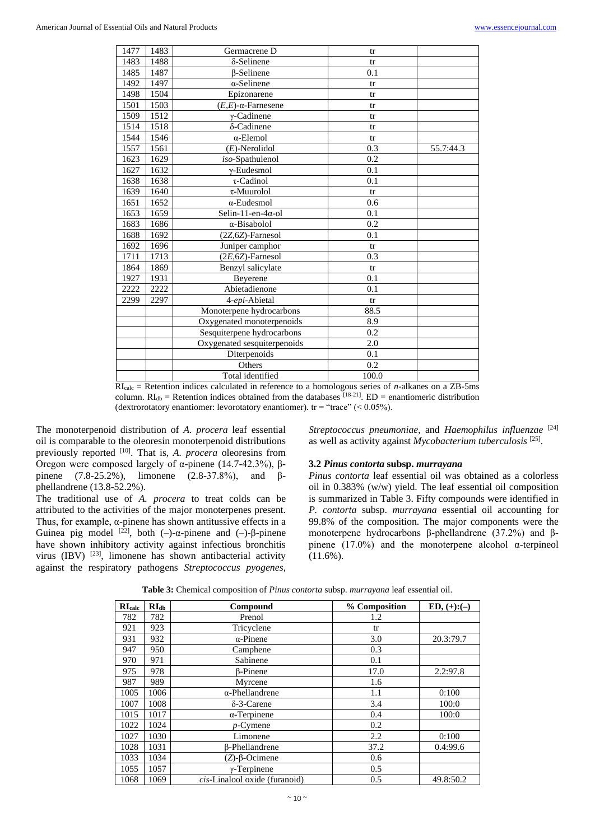| 1477 | 1483 | Germacrene D                  | tr    |           |
|------|------|-------------------------------|-------|-----------|
| 1483 | 1488 | $\delta$ -Selinene            | tr    |           |
| 1485 | 1487 | <b>B-Selinene</b>             | 0.1   |           |
| 1492 | 1497 | $\alpha$ -Selinene            | tr    |           |
| 1498 | 1504 | Epizonarene                   | tr    |           |
| 1501 | 1503 | $(E,E)$ - $\alpha$ -Farnesene | tr    |           |
| 1509 | 1512 | $\gamma$ -Cadinene            | tr    |           |
| 1514 | 1518 | δ-Cadinene                    | tr    |           |
| 1544 | 1546 | $\alpha$ -Elemol              | tr    |           |
| 1557 | 1561 | $(E)$ -Nerolidol              | 0.3   | 55.7:44.3 |
| 1623 | 1629 | iso-Spathulenol               | 0.2   |           |
| 1627 | 1632 | $\gamma$ -Eudesmol            | 0.1   |           |
| 1638 | 1638 | $\tau$ -Cadinol               | 0.1   |           |
| 1639 | 1640 | $\tau$ -Muurolol              | tr    |           |
| 1651 | 1652 | $\alpha$ -Eudesmol            | 0.6   |           |
| 1653 | 1659 | Selin-11-en-4 $\alpha$ -ol    | 0.1   |           |
| 1683 | 1686 | α-Bisabolol                   | 0.2   |           |
| 1688 | 1692 | $(2Z, 6Z)$ -Farnesol          | 0.1   |           |
| 1692 | 1696 | Juniper camphor               | tr    |           |
| 1711 | 1713 | $(2E, 6Z)$ -Farnesol          | 0.3   |           |
| 1864 | 1869 | Benzyl salicylate             | tr    |           |
| 1927 | 1931 | Beyerene                      | 0.1   |           |
| 2222 | 2222 | Abietadienone                 | 0.1   |           |
| 2299 | 2297 | 4-epi-Abietal                 | tr    |           |
|      |      | Monoterpene hydrocarbons      | 88.5  |           |
|      |      | Oxygenated monoterpenoids     | 8.9   |           |
|      |      | Sesquiterpene hydrocarbons    | 0.2   |           |
|      |      | Oxygenated sesquiterpenoids   | 2.0   |           |
|      |      | Diterpenoids                  | 0.1   |           |
|      |      | Others                        | 0.2   |           |
|      |      | Total identified              | 100.0 |           |

RIcalc = Retention indices calculated in reference to a homologous series of *n*-alkanes on a ZB-5ms column.  $RI_{db}$  = Retention indices obtained from the databases  $[18-21]$ . ED = enantiomeric distribution (dextrorotatory enantiomer: levorotatory enantiomer).  $tr = "trace" (< 0.05\%).$ 

The monoterpenoid distribution of *A. procera* leaf essential oil is comparable to the oleoresin monoterpenoid distributions previously reported <sup>[10]</sup>. That is, *A. procera* oleoresins from Oregon were composed largely of α-pinene (14.7-42.3%), βpinene (7.8-25.2%), limonene (2.8-37.8%), and βphellandrene (13.8-52.2%).

The traditional use of *A. procera* to treat colds can be attributed to the activities of the major monoterpenes present. Thus, for example, α-pinene has shown antitussive effects in a Guinea pig model <sup>[22]</sup>, both (-)-α-pinene and (-)-β-pinene have shown inhibitory activity against infectious bronchitis virus (IBV) <sup>[23]</sup>, limonene has shown antibacterial activity against the respiratory pathogens *Streptococcus pyogenes*,

*Streptococcus pneumoniae*, and *Haemophilus influenzae* [24] as well as activity against *Mycobacterium tuberculosis* [25] .

### **3.2** *Pinus contorta* **subsp.** *murrayana*

*Pinus contorta* leaf essential oil was obtained as a colorless oil in 0.383% (w/w) yield. The leaf essential oil composition is summarized in Table 3. Fifty compounds were identified in *P. contorta* subsp. *murrayana* essential oil accounting for 99.8% of the composition. The major components were the monoterpene hydrocarbons β-phellandrene (37.2%) and βpinene  $(17.0\%)$  and the monoterpene alcohol  $\alpha$ -terpineol (11.6%).

| $R_{\rm Calc}$ | RI <sub>db</sub> | Compound                      | % Composition | $ED, (+): (-)$ |
|----------------|------------------|-------------------------------|---------------|----------------|
| 782            | 782              | Prenol                        | 1.2           |                |
| 921            | 923              | Tricyclene                    | tr            |                |
| 931            | 932              | $\alpha$ -Pinene              | 3.0           | 20.3:79.7      |
| 947            | 950              | Camphene                      | 0.3           |                |
| 970            | 971              | Sabinene                      | 0.1           |                |
| 975            | 978              | <b>B-Pinene</b>               | 17.0          | 2.2:97.8       |
| 987            | 989              | Myrcene                       | 1.6           |                |
| 1005           | 1006             | $\alpha$ -Phellandrene        | 1.1           | 0:100          |
| 1007           | 1008             | $\delta$ -3-Carene            | 3.4           | 100:0          |
| 1015           | 1017             | $\alpha$ -Terpinene           | 0.4           | 100:0          |
| 1022           | 1024             | $p$ -Cymene                   | 0.2           |                |
| 1027           | 1030             | Limonene                      | 2.2           | 0:100          |
| 1028           | 1031             | β-Phellandrene                | 37.2          | 0.4:99.6       |
| 1033           | 1034             | $(Z)$ - $\beta$ -Ocimene      | 0.6           |                |
| 1055           | 1057             | $\gamma$ -Terpinene           | 0.5           |                |
| 1068           | 1069             | cis-Linalool oxide (furanoid) | 0.5           | 49.8:50.2      |

| Table 3: Chemical composition of <i>Pinus contorta</i> subsp. murrayana leaf essential oil. |  |
|---------------------------------------------------------------------------------------------|--|
|---------------------------------------------------------------------------------------------|--|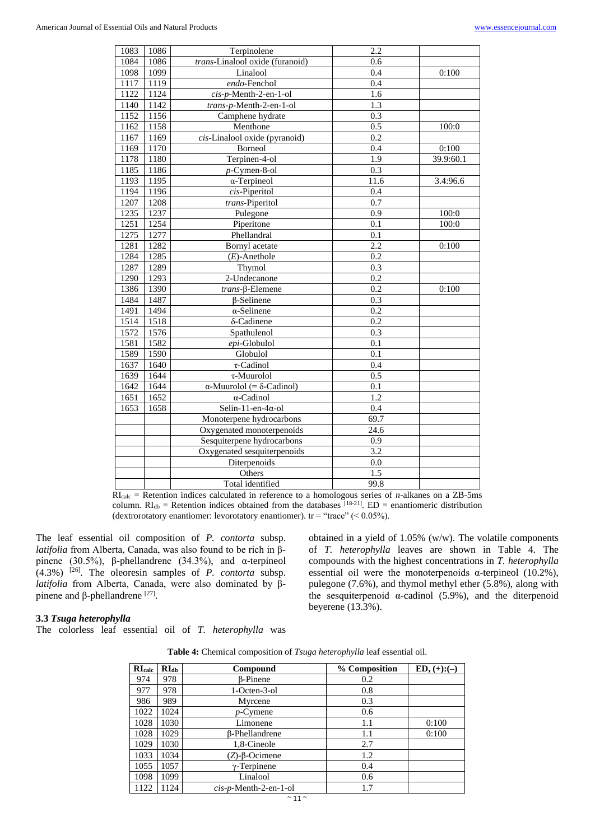| 1083 | 1086 | Terpinolene                              | 2.2               |           |
|------|------|------------------------------------------|-------------------|-----------|
| 1084 | 1086 | trans-Linalool oxide (furanoid)          | 0.6               |           |
| 1098 | 1099 | Linalool                                 | 0.4               | 0:100     |
| 1117 | 1119 | endo-Fenchol                             | 0.4               |           |
| 1122 | 1124 | cis-p-Menth-2-en-1-ol                    | 1.6               |           |
| 1140 | 1142 | trans-p-Menth-2-en-1-ol                  | 1.3               |           |
| 1152 | 1156 | Camphene hydrate                         | 0.3               |           |
| 1162 | 1158 | Menthone                                 | $\overline{0.5}$  | 100:0     |
| 1167 | 1169 | cis-Linalool oxide (pyranoid)            | $\overline{0.2}$  |           |
| 1169 | 1170 | Borneol                                  | 0.4               | 0:100     |
| 1178 | 1180 | Terpinen-4-ol                            | 1.9               | 39.9:60.1 |
| 1185 | 1186 | p-Cymen-8-ol                             | $\overline{0.3}$  |           |
| 1193 | 1195 | $\alpha$ -Terpineol                      | $\overline{11.6}$ | 3.4:96.6  |
| 1194 | 1196 | cis-Piperitol                            | 0.4               |           |
| 1207 | 1208 | trans-Piperitol                          | 0.7               |           |
| 1235 | 1237 | Pulegone                                 | 0.9               | 100:0     |
| 1251 | 1254 | Piperitone                               | 0.1               | 100:0     |
| 1275 | 1277 | Phellandral                              | 0.1               |           |
| 1281 | 1282 | Bornyl acetate                           | 2.2               | 0:100     |
| 1284 | 1285 | $(E)$ -Anethole                          | $\overline{0.2}$  |           |
| 1287 | 1289 | Thymol                                   | 0.3               |           |
| 1290 | 1293 | 2-Undecanone                             | 0.2               |           |
| 1386 | 1390 | $trans$ - $\beta$ -Elemene               | 0.2               | 0:100     |
| 1484 | 1487 | $\beta$ -Selinene                        | 0.3               |           |
| 1491 | 1494 | $\alpha$ -Selinene                       | $\overline{0.2}$  |           |
| 1514 | 1518 | δ-Cadinene                               | 0.2               |           |
| 1572 | 1576 | Spathulenol                              | 0.3               |           |
| 1581 | 1582 | epi-Globulol                             | 0.1               |           |
| 1589 | 1590 | Globulol                                 | $\overline{0.1}$  |           |
| 1637 | 1640 | $\tau$ -Cadinol                          | 0.4               |           |
| 1639 | 1644 | $\tau$ -Muurolol                         | 0.5               |           |
| 1642 | 1644 | $\alpha$ -Muurolol (= $\delta$ -Cadinol) | 0.1               |           |
| 1651 | 1652 | $\alpha$ -Cadinol                        | 1.2               |           |
| 1653 | 1658 | Selin-11-en-4 $\alpha$ -ol               | 0.4               |           |
|      |      | Monoterpene hydrocarbons                 | 69.7              |           |
|      |      | Oxygenated monoterpenoids                | 24.6              |           |
|      |      | Sesquiterpene hydrocarbons               | 0.9               |           |
|      |      | Oxygenated sesquiterpenoids              | 3.2               |           |
|      |      | Diterpenoids                             | 0.0               |           |
|      |      | Others                                   | $\overline{1.5}$  |           |
|      |      | Total identified                         | 99.8              |           |

RIcalc = Retention indices calculated in reference to a homologous series of *n*-alkanes on a ZB-5ms column.  $RI_{db}$  = Retention indices obtained from the databases <sup>[18-21]</sup>. ED = enantiomeric distribution (dextrorotatory enantiomer: levorotatory enantiomer).  $tr = "trace" (< 0.05\%)$ .

The leaf essential oil composition of *P. contorta* subsp. *latifolia* from Alberta, Canada, was also found to be rich in βpinene (30.5%), β-phellandrene (34.3%), and α-terpineol (4.3%) [26] . The oleoresin samples of *P. contorta* subsp. *latifolia* from Alberta, Canada, were also dominated by βpinene and β-phellandrene  $[27]$ .

obtained in a yield of 1.05% (w/w). The volatile components of *T. heterophylla* leaves are shown in Table 4. The compounds with the highest concentrations in *T. heterophylla* essential oil were the monoterpenoids α-terpineol (10.2%), pulegone (7.6%), and thymol methyl ether (5.8%), along with the sesquiterpenoid  $α$ -cadinol (5.9%), and the diterpenoid beyerene (13.3%).

### **3.3** *Tsuga heterophylla*

The colorless leaf essential oil of *T. heterophylla* was

| Table 4: Chemical composition of Tsuga heterophylla leaf essential oil. |  |  |
|-------------------------------------------------------------------------|--|--|
|-------------------------------------------------------------------------|--|--|

| RI <sub>calc</sub> | RI <sub>db</sub> | Compound                          | % Composition | $ED, (+): (-)$ |
|--------------------|------------------|-----------------------------------|---------------|----------------|
| 974                | 978              | <b>B-Pinene</b>                   | 0.2           |                |
| 977                | 978              | 1-Octen-3-ol                      | 0.8           |                |
| 986                | 989              | Myrcene                           | 0.3           |                |
| 1022               | 1024             | <i>p</i> -Cymene                  | 0.6           |                |
| 1028               | 1030             | Limonene                          | 1.1           | 0:100          |
| 1028               | 1029             | <b>B-Phellandrene</b>             | 1.1           | 0:100          |
| 1029               | 1030             | 1,8-Cineole                       | 2.7           |                |
| 1033               | 1034             | $(Z)$ - $\beta$ -Ocimene          | 1.2           |                |
| 1055               | 1057             | $\gamma$ -Terpinene               | 0.4           |                |
| 1098               | 1099             | Linalool                          | 0.6           |                |
| 1122               | 1124             | $cis$ - <i>p</i> -Menth-2-en-1-ol | 1.7           |                |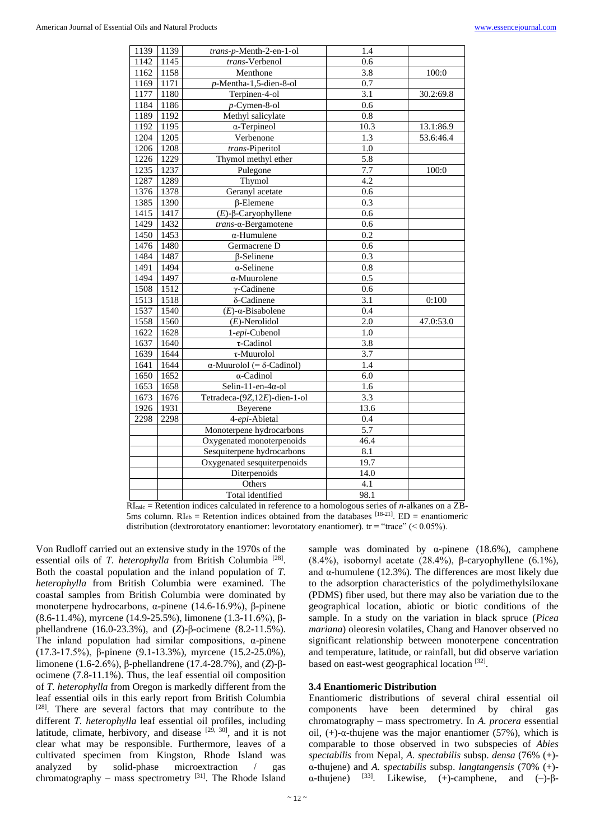| 1139 | 1139 | trans-p-Menth-2-en-1-ol                  | 1.4              |           |
|------|------|------------------------------------------|------------------|-----------|
| 1142 | 1145 | trans-Verbenol                           | 0.6              |           |
| 1162 | 1158 | Menthone                                 | 3.8              | 100:0     |
| 1169 | 1171 | p-Mentha-1,5-dien-8-ol                   | 0.7              |           |
| 1177 | 1180 | Terpinen-4-ol                            | 3.1              | 30.2:69.8 |
| 1184 | 1186 | $p$ -Cymen-8-ol                          | 0.6              |           |
| 1189 | 1192 | Methyl salicylate                        | 0.8              |           |
| 1192 | 1195 | $\alpha$ -Terpineol                      | 10.3             | 13.1:86.9 |
| 1204 | 1205 | Verbenone                                | 1.3              | 53.6:46.4 |
| 1206 | 1208 | trans-Piperitol                          | 1.0              |           |
| 1226 | 1229 | Thymol methyl ether                      | 5.8              |           |
| 1235 | 1237 | Pulegone                                 | 7.7              | 100:0     |
| 1287 | 1289 | Thymol                                   | $4.\overline{2}$ |           |
| 1376 | 1378 | Geranyl acetate                          | 0.6              |           |
| 1385 | 1390 | $\beta$ -Elemene                         | 0.3              |           |
| 1415 | 1417 | $(E)$ -β-Caryophyllene                   | 0.6              |           |
| 1429 | 1432 | $trans-\alpha$ -Bergamotene              | 0.6              |           |
| 1450 | 1453 | $\alpha$ -Humulene                       | 0.2              |           |
| 1476 | 1480 | Germacrene D                             | 0.6              |           |
| 1484 | 1487 | $\beta$ -Selinene                        | 0.3              |           |
| 1491 | 1494 | $\alpha$ -Selinene                       | 0.8              |           |
| 1494 | 1497 | α-Muurolene                              | 0.5              |           |
| 1508 | 1512 | $\gamma$ -Cadinene                       | 0.6              |           |
| 1513 | 1518 | δ-Cadinene                               | 3.1              | 0:100     |
| 1537 | 1540 | $(E)$ - $\alpha$ -Bisabolene             | 0.4              |           |
| 1558 | 1560 | $(E)$ -Nerolidol                         | 2.0              | 47.0:53.0 |
| 1622 | 1628 | 1-epi-Cubenol                            | 1.0              |           |
| 1637 | 1640 | $\tau$ -Cadinol                          | 3.8              |           |
| 1639 | 1644 | $\tau$ -Muurolol                         | 3.7              |           |
| 1641 | 1644 | $\alpha$ -Muurolol (= $\delta$ -Cadinol) | 1.4              |           |
| 1650 | 1652 | $\alpha$ -Cadinol                        | 6.0              |           |
| 1653 | 1658 | Selin-11-en-4 $\alpha$ -ol               | 1.6              |           |
| 1673 | 1676 | Tetradeca-(9Z,12E)-dien-1-ol             | 3.3              |           |
| 1926 | 1931 | Beyerene                                 | 13.6             |           |
| 2298 | 2298 | 4-epi-Abietal                            | 0.4              |           |
|      |      | Monoterpene hydrocarbons                 | 5.7              |           |
|      |      | Oxygenated monoterpenoids                | 46.4             |           |
|      |      | Sesquiterpene hydrocarbons               | 8.1              |           |
|      |      | Oxygenated sesquiterpenoids              | 19.7             |           |
|      |      | Diterpenoids                             | 14.0             |           |
|      |      | Others                                   | 4.1              |           |
|      |      | Total identified                         | 98.1             |           |

RIcalc = Retention indices calculated in reference to a homologous series of *n*-alkanes on a ZB-5ms column.  $RI_{db}$  = Retention indices obtained from the databases [18-21]. ED = enantiomeric distribution (dextrorotatory enantiomer: levorotatory enantiomer).  $tr = "trace" (< 0.05\%)$ .

Von Rudloff carried out an extensive study in the 1970s of the essential oils of *T. heterophylla* from British Columbia<sup>[28]</sup>. Both the coastal population and the inland population of *T. heterophylla* from British Columbia were examined. The coastal samples from British Columbia were dominated by monoterpene hydrocarbons, α-pinene (14.6-16.9%), β-pinene (8.6-11.4%), myrcene (14.9-25.5%), limonene (1.3-11.6%), βphellandrene (16.0-23.3%), and (*Z*)-β-ocimene (8.2-11.5%). The inland population had similar compositions,  $\alpha$ -pinene (17.3-17.5%), β-pinene (9.1-13.3%), myrcene (15.2-25.0%), limonene (1.6-2.6%), β-phellandrene (17.4-28.7%), and (*Z*)-βocimene (7.8-11.1%). Thus, the leaf essential oil composition of *T. heterophylla* from Oregon is markedly different from the leaf essential oils in this early report from British Columbia [28]. There are several factors that may contribute to the different *T. heterophylla* leaf essential oil profiles, including latitude, climate, herbivory, and disease  $[29, 30]$ , and it is not clear what may be responsible. Furthermore, leaves of a cultivated specimen from Kingston, Rhode Island was analyzed by solid-phase microextraction / gas chromatography – mass spectrometry  $[31]$ . The Rhode Island sample was dominated by  $\alpha$ -pinene (18.6%), camphene (8.4%), isobornyl acetate (28.4%), β-caryophyllene (6.1%), and α-humulene (12.3%). The differences are most likely due to the adsorption characteristics of the polydimethylsiloxane (PDMS) fiber used, but there may also be variation due to the geographical location, abiotic or biotic conditions of the sample. In a study on the variation in black spruce (*Picea mariana*) oleoresin volatiles, Chang and Hanover observed no significant relationship between monoterpene concentration and temperature, latitude, or rainfall, but did observe variation based on east-west geographical location [32].

### **3.4 Enantiomeric Distribution**

Enantiomeric distributions of several chiral essential oil components have been determined by chiral gas chromatography – mass spectrometry. In *A. procera* essential oil, (+)-α-thujene was the major enantiomer (57%), which is comparable to those observed in two subspecies of *Abies spectabilis* from Nepal, *A. spectabilis* subsp. *densa* (76% (+) α-thujene) and *A. spectabilis* subsp. *langtangensis* (70% (+) α-thujene) <sup>[33]</sup>. Likewise, (+)-camphene, and (-)-β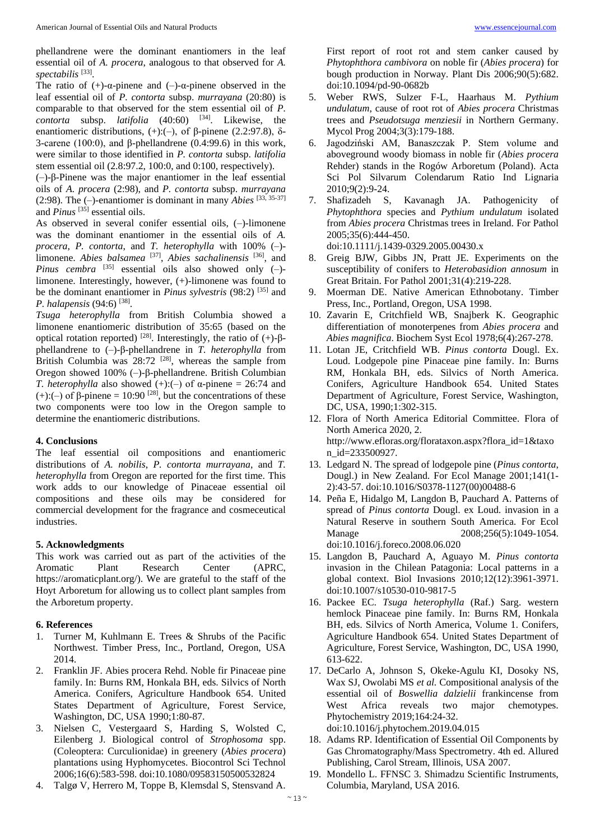phellandrene were the dominant enantiomers in the leaf essential oil of *A. procera*, analogous to that observed for *A. spectabilis* [33] .

The ratio of  $(+)$ - $\alpha$ -pinene and  $(-)$ - $\alpha$ -pinene observed in the leaf essential oil of *P. contorta* subsp. *murrayana* (20:80) is comparable to that observed for the stem essential oil of *P. contorta* subsp. *latifolia* (40:60) <sup>[34]</sup>. Likewise, the enantiomeric distributions,  $(+)(-)$ , of β-pinene (2.2:97.8), δ-3-carene (100:0), and β-phellandrene (0.4:99.6) in this work, were similar to those identified in *P. contorta* subsp. *latifolia* stem essential oil (2.8:97.2, 100:0, and 0:100, respectively).

(–)-β-Pinene was the major enantiomer in the leaf essential oils of *A. procera* (2:98), and *P. contorta* subsp. *murrayana* (2:98). The (–)-enantiomer is dominant in many *Abies* [33, 35-37] and *Pinus* [35] essential oils.

As observed in several conifer essential oils, (–)-limonene was the dominant enantiomer in the essential oils of *A. procera*, *P. contorta*, and *T. heterophylla* with 100% (–) limonene. *Abies balsamea* [37], *Abies sachalinensis* [36], and Pinus cembra <sup>[35]</sup> essential oils also showed only (-)limonene. Interestingly, however, (+)-limonene was found to be the dominant enantiomer in *Pinus sylvestris* (98:2)<sup>[35]</sup> and *P. halapensis* (94:6) [38] .

*Tsuga heterophylla* from British Columbia showed a limonene enantiomeric distribution of 35:65 (based on the optical rotation reported) <sup>[28]</sup>. Interestingly, the ratio of  $(+)$ -βphellandrene to (–)-β-phellandrene in *T. heterophylla* from British Columbia was  $28:72$  <sup>[28]</sup>, whereas the sample from Oregon showed 100% (–)-β-phellandrene. British Columbian *T. heterophylla* also showed  $(+)(-)$  of  $\alpha$ -pinene = 26:74 and (+):(-) of  $\beta$ -pinene = 10:90<sup>[28]</sup>, but the concentrations of these two components were too low in the Oregon sample to determine the enantiomeric distributions.

### **4. Conclusions**

The leaf essential oil compositions and enantiomeric distributions of *A. nobilis*, *P. contorta murrayana*, and *T. heterophylla* from Oregon are reported for the first time. This work adds to our knowledge of Pinaceae essential oil compositions and these oils may be considered for commercial development for the fragrance and cosmeceutical industries.

### **5. Acknowledgments**

This work was carried out as part of the activities of the Aromatic Plant Research Center (APRC, https://aromaticplant.org/). We are grateful to the staff of the Hoyt Arboretum for allowing us to collect plant samples from the Arboretum property.

### **6. References**

- 1. Turner M, Kuhlmann E. Trees & Shrubs of the Pacific Northwest. Timber Press, Inc., Portland, Oregon, USA 2014.
- 2. Franklin JF. Abies procera Rehd. Noble fir Pinaceae pine family. In: Burns RM, Honkala BH, eds. Silvics of North America. Conifers, Agriculture Handbook 654. United States Department of Agriculture, Forest Service, Washington, DC, USA 1990;1:80-87.
- 3. Nielsen C, Vestergaard S, Harding S, Wolsted C, Eilenberg J. Biological control of *Strophosoma* spp. (Coleoptera: Curculionidae) in greenery (*Abies procera*) plantations using Hyphomycetes. Biocontrol Sci Technol 2006;16(6):583-598. doi:10.1080/09583150500532824
- 4. Talgø V, Herrero M, Toppe B, Klemsdal S, Stensvand A.

First report of root rot and stem canker caused by *Phytophthora cambivora* on noble fir (*Abies procera*) for bough production in Norway. Plant Dis 2006;90(5):682. doi:10.1094/pd-90-0682b

- 5. Weber RWS, Sulzer F-L, Haarhaus M. *Pythium undulatum*, cause of root rot of *Abies procera* Christmas trees and *Pseudotsuga menziesii* in Northern Germany. Mycol Prog 2004;3(3):179-188.
- 6. Jagodziński AM, Banaszczak P. Stem volume and aboveground woody biomass in noble fir (*Abies procera* Rehder) stands in the Rogów Arboretum (Poland). Acta Sci Pol Silvarum Colendarum Ratio Ind Lignaria 2010;9(2):9-24.
- 7. Shafizadeh S, Kavanagh JA. Pathogenicity of *Phytophthora* species and *Pythium undulatum* isolated from *Abies procera* Christmas trees in Ireland. For Pathol 2005;35(6):444-450.

doi:10.1111/j.1439-0329.2005.00430.x

- 8. Greig BJW, Gibbs JN, Pratt JE. Experiments on the susceptibility of conifers to *Heterobasidion annosum* in Great Britain. For Pathol 2001;31(4):219-228.
- 9. Moerman DE. Native American Ethnobotany. Timber Press, Inc., Portland, Oregon, USA 1998.
- 10. Zavarin E, Critchfield WB, Snajberk K. Geographic differentiation of monoterpenes from *Abies procera* and *Abies magnifica*. Biochem Syst Ecol 1978;6(4):267-278.
- 11. Lotan JE, Critchfield WB. *Pinus contorta* Dougl. Ex. Loud. Lodgepole pine Pinaceae pine family. In: Burns RM, Honkala BH, eds. Silvics of North America. Conifers, Agriculture Handbook 654. United States Department of Agriculture, Forest Service, Washington, DC, USA, 1990;1:302-315.
- 12. Flora of North America Editorial Committee. Flora of North America 2020, 2. http://www.efloras.org/florataxon.aspx?flora\_id=1&taxo n\_id=233500927.
- 13. Ledgard N. The spread of lodgepole pine (*Pinus contorta*, Dougl.) in New Zealand. For Ecol Manage 2001;141(1- 2):43-57. doi:10.1016/S0378-1127(00)00488-6
- 14. Peña E, Hidalgo M, Langdon B, Pauchard A. Patterns of spread of *Pinus contorta* Dougl. ex Loud. invasion in a Natural Reserve in southern South America. For Ecol Manage 2008;256(5):1049-1054. doi:10.1016/j.foreco.2008.06.020
- 15. Langdon B, Pauchard A, Aguayo M. *Pinus contorta* invasion in the Chilean Patagonia: Local patterns in a global context. Biol Invasions 2010;12(12):3961-3971. doi:10.1007/s10530-010-9817-5
- 16. Packee EC. *Tsuga heterophylla* (Raf.) Sarg. western hemlock Pinaceae pine family. In: Burns RM, Honkala BH, eds. Silvics of North America, Volume 1. Conifers, Agriculture Handbook 654. United States Department of Agriculture, Forest Service, Washington, DC, USA 1990, 613-622.
- 17. DeCarlo A, Johnson S, Okeke-Agulu KI, Dosoky NS, Wax SJ, Owolabi MS *et al.* Compositional analysis of the essential oil of *Boswellia dalzielii* frankincense from West Africa reveals two major chemotypes. Phytochemistry 2019;164:24-32. doi:10.1016/j.phytochem.2019.04.015
- 18. Adams RP. Identification of Essential Oil Components by Gas Chromatography/Mass Spectrometry. 4th ed. Allured Publishing, Carol Stream, Illinois, USA 2007.
- 19. Mondello L. FFNSC 3. Shimadzu Scientific Instruments, Columbia, Maryland, USA 2016.